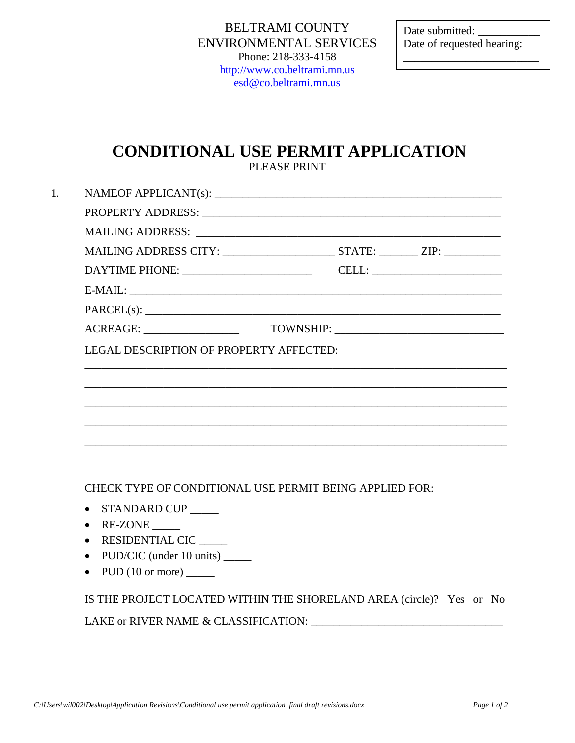Date submitted: Date of requested hearing:

\_\_\_\_\_\_\_\_\_\_\_\_\_\_\_\_\_\_\_\_\_\_\_\_

# **CONDITIONAL USE PERMIT APPLICATION**

PLEASE PRINT

| ACREAGE: _____________________          |  |  |
|-----------------------------------------|--|--|
| LEGAL DESCRIPTION OF PROPERTY AFFECTED: |  |  |
|                                         |  |  |
|                                         |  |  |
|                                         |  |  |
|                                         |  |  |
|                                         |  |  |

CHECK TYPE OF CONDITIONAL USE PERMIT BEING APPLIED FOR:

- STANDARD CUP \_\_\_\_\_
- $\bullet$  RE-ZONE \_\_\_\_\_\_\_\_
- RESIDENTIAL CIC \_\_\_\_\_
- PUD/CIC (under 10 units) \_\_\_\_\_\_
- PUD (10 or more) \_\_\_\_\_

IS THE PROJECT LOCATED WITHIN THE SHORELAND AREA (circle)? Yes or No LAKE or RIVER NAME & CLASSIFICATION: \_\_\_\_\_\_\_\_\_\_\_\_\_\_\_\_\_\_\_\_\_\_\_\_\_\_\_\_\_\_\_\_\_\_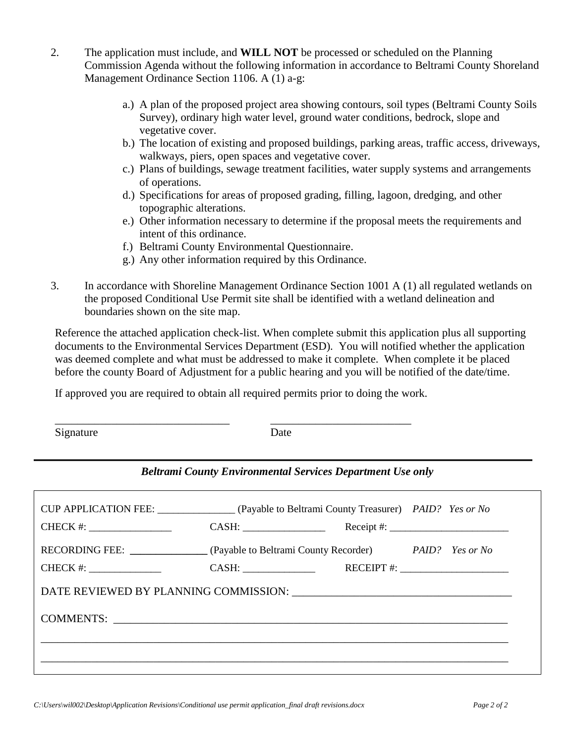- 2. The application must include, and **WILL NOT** be processed or scheduled on the Planning Commission Agenda without the following information in accordance to Beltrami County Shoreland Management Ordinance Section 1106. A (1) a-g:
	- a.) A plan of the proposed project area showing contours, soil types (Beltrami County Soils Survey), ordinary high water level, ground water conditions, bedrock, slope and vegetative cover.
	- b.) The location of existing and proposed buildings, parking areas, traffic access, driveways, walkways, piers, open spaces and vegetative cover.
	- c.) Plans of buildings, sewage treatment facilities, water supply systems and arrangements of operations.
	- d.) Specifications for areas of proposed grading, filling, lagoon, dredging, and other topographic alterations.
	- e.) Other information necessary to determine if the proposal meets the requirements and intent of this ordinance.
	- f.) Beltrami County Environmental Questionnaire.
	- g.) Any other information required by this Ordinance.
- 3. In accordance with Shoreline Management Ordinance Section 1001 A (1) all regulated wetlands on the proposed Conditional Use Permit site shall be identified with a wetland delineation and boundaries shown on the site map.

Reference the attached application check-list. When complete submit this application plus all supporting documents to the Environmental Services Department (ESD). You will notified whether the application was deemed complete and what must be addressed to make it complete. When complete it be placed before the county Board of Adjustment for a public hearing and you will be notified of the date/time.

If approved you are required to obtain all required permits prior to doing the work.

\_\_\_\_\_\_\_\_\_\_\_\_\_\_\_\_\_\_\_\_\_\_\_\_\_\_\_\_\_\_\_ \_\_\_\_\_\_\_\_\_\_\_\_\_\_\_\_\_\_\_\_\_\_\_\_\_

| Signature | Date |
|-----------|------|
|           |      |

#### *Beltrami County Environmental Services Department Use only*

| CUP APPLICATION FEE: _______________ (Payable to Beltrami County Treasurer) PAID? Yes or No |                                                         |  |  |                          |  |  |
|---------------------------------------------------------------------------------------------|---------------------------------------------------------|--|--|--------------------------|--|--|
|                                                                                             | CASH: $\qquad \qquad \qquad$ Receipt #: $\qquad \qquad$ |  |  |                          |  |  |
| RECORDING FEE: (Payable to Beltrami County Recorder) PAID? Yes or No                        |                                                         |  |  |                          |  |  |
| $CHECK$ #: $\_\_\_\_\_\_\_\_\_\_\_\_\_\_\_\_\_$                                             |                                                         |  |  | RECEIPT #: $\frac{1}{2}$ |  |  |
|                                                                                             |                                                         |  |  |                          |  |  |
|                                                                                             |                                                         |  |  |                          |  |  |
|                                                                                             |                                                         |  |  |                          |  |  |
|                                                                                             |                                                         |  |  |                          |  |  |
|                                                                                             |                                                         |  |  |                          |  |  |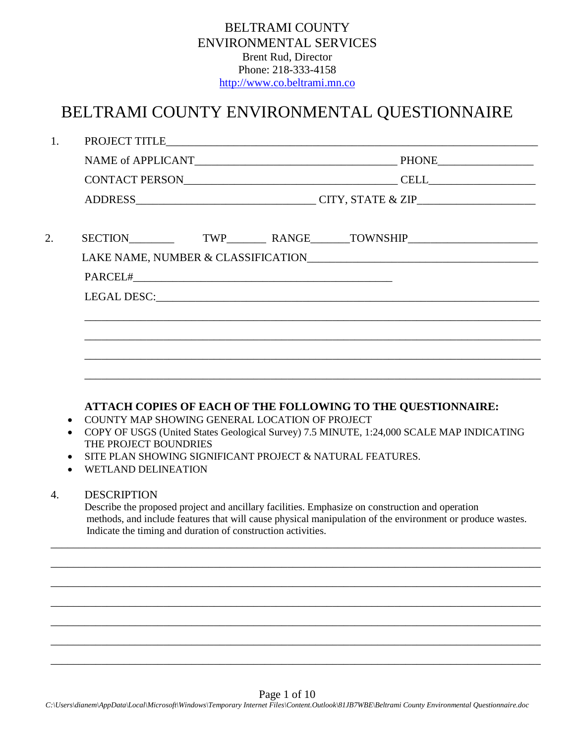| <b>BELTRAMI COUNTY</b>        |
|-------------------------------|
| <b>ENVIRONMENTAL SERVICES</b> |
| <b>Brent Rud, Director</b>    |
| Phone: 218-333-4158           |
| http://www.co.beltrami.mn.co  |

# BELTRAMI COUNTY ENVIRONMENTAL QUESTIONNAIRE

| 1.               |                                                                                                       |  |                                                                                                                                                                                                              |
|------------------|-------------------------------------------------------------------------------------------------------|--|--------------------------------------------------------------------------------------------------------------------------------------------------------------------------------------------------------------|
|                  |                                                                                                       |  |                                                                                                                                                                                                              |
|                  |                                                                                                       |  |                                                                                                                                                                                                              |
|                  |                                                                                                       |  |                                                                                                                                                                                                              |
| 2.               |                                                                                                       |  |                                                                                                                                                                                                              |
|                  |                                                                                                       |  |                                                                                                                                                                                                              |
|                  |                                                                                                       |  |                                                                                                                                                                                                              |
|                  |                                                                                                       |  |                                                                                                                                                                                                              |
|                  |                                                                                                       |  |                                                                                                                                                                                                              |
|                  |                                                                                                       |  |                                                                                                                                                                                                              |
|                  |                                                                                                       |  |                                                                                                                                                                                                              |
|                  |                                                                                                       |  |                                                                                                                                                                                                              |
| $\bullet$        | COUNTY MAP SHOWING GENERAL LOCATION OF PROJECT<br>THE PROJECT BOUNDRIES<br><b>WETLAND DELINEATION</b> |  | COPY OF USGS (United States Geological Survey) 7.5 MINUTE, 1:24,000 SCALE MAP INDICATING<br>SITE PLAN SHOWING SIGNIFICANT PROJECT & NATURAL FEATURES.                                                        |
| $\overline{4}$ . | <b>DESCRIPTION</b>                                                                                    |  |                                                                                                                                                                                                              |
|                  |                                                                                                       |  |                                                                                                                                                                                                              |
|                  | Indicate the timing and duration of construction activities.                                          |  | Describe the proposed project and ancillary facilities. Emphasize on construction and operation<br>methods, and include features that will cause physical manipulation of the environment or produce wastes. |
|                  |                                                                                                       |  |                                                                                                                                                                                                              |
|                  |                                                                                                       |  |                                                                                                                                                                                                              |
|                  |                                                                                                       |  |                                                                                                                                                                                                              |
|                  |                                                                                                       |  |                                                                                                                                                                                                              |
|                  |                                                                                                       |  |                                                                                                                                                                                                              |
|                  |                                                                                                       |  |                                                                                                                                                                                                              |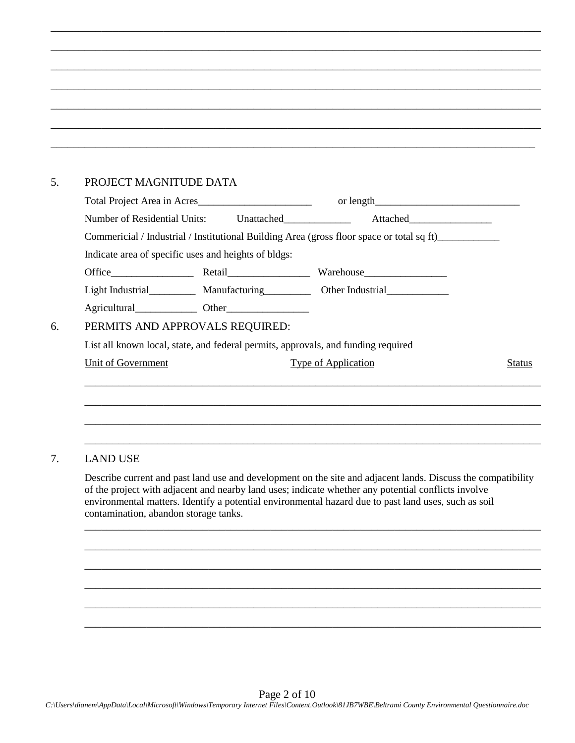#### 5. PROJECT MAGNITUDE DATA

| Total Project Area in Acres                                                               |  |                            |               |
|-------------------------------------------------------------------------------------------|--|----------------------------|---------------|
| Number of Residential Units: Unattached                                                   |  |                            |               |
| Commericial / Industrial / Institutional Building Area (gross floor space or total sq ft) |  |                            |               |
| Indicate area of specific uses and heights of bldgs:                                      |  |                            |               |
|                                                                                           |  |                            |               |
| Light Industrial Manufacturing Other Industrial                                           |  |                            |               |
|                                                                                           |  |                            |               |
| PERMITS AND APPROVALS REQUIRED:                                                           |  |                            |               |
| List all known local, state, and federal permits, approvals, and funding required         |  |                            |               |
| Unit of Government                                                                        |  | <b>Type of Application</b> | <b>Status</b> |
|                                                                                           |  |                            |               |
|                                                                                           |  |                            |               |
|                                                                                           |  |                            |               |

\_\_\_\_\_\_\_\_\_\_\_\_\_\_\_\_\_\_\_\_\_\_\_\_\_\_\_\_\_\_\_\_\_\_\_\_\_\_\_\_\_\_\_\_\_\_\_\_\_\_\_\_\_\_\_\_\_\_\_\_\_\_\_\_\_\_\_\_\_\_\_\_\_\_\_\_\_\_\_\_\_\_\_\_\_\_\_

\_\_\_\_\_\_\_\_\_\_\_\_\_\_\_\_\_\_\_\_\_\_\_\_\_\_\_\_\_\_\_\_\_\_\_\_\_\_\_\_\_\_\_\_\_\_\_\_\_\_\_\_\_\_\_\_\_\_\_\_\_\_\_\_\_\_\_\_\_\_\_\_\_\_\_\_\_\_\_\_\_\_\_\_\_\_\_

\_\_\_\_\_\_\_\_\_\_\_\_\_\_\_\_\_\_\_\_\_\_\_\_\_\_\_\_\_\_\_\_\_\_\_\_\_\_\_\_\_\_\_\_\_\_\_\_\_\_\_\_\_\_\_\_\_\_\_\_\_\_\_\_\_\_\_\_\_\_\_\_\_\_\_\_\_\_\_\_\_\_\_\_\_\_\_

\_\_\_\_\_\_\_\_\_\_\_\_\_\_\_\_\_\_\_\_\_\_\_\_\_\_\_\_\_\_\_\_\_\_\_\_\_\_\_\_\_\_\_\_\_\_\_\_\_\_\_\_\_\_\_\_\_\_\_\_\_\_\_\_\_\_\_\_\_\_\_\_\_\_\_\_\_\_\_\_\_\_\_\_\_\_\_

\_\_\_\_\_\_\_\_\_\_\_\_\_\_\_\_\_\_\_\_\_\_\_\_\_\_\_\_\_\_\_\_\_\_\_\_\_\_\_\_\_\_\_\_\_\_\_\_\_\_\_\_\_\_\_\_\_\_\_\_\_\_\_\_\_\_\_\_\_\_\_\_\_\_\_\_\_\_\_\_\_\_\_\_\_\_\_

\_\_\_\_\_\_\_\_\_\_\_\_\_\_\_\_\_\_\_\_\_\_\_\_\_\_\_\_\_\_\_\_\_\_\_\_\_\_\_\_\_\_\_\_\_\_\_\_\_\_\_\_\_\_\_\_\_\_\_\_\_\_\_\_\_\_\_\_\_\_\_\_\_\_\_\_\_\_\_\_\_\_\_\_\_\_\_

\_\_\_\_\_\_\_\_\_\_\_\_\_\_\_\_\_\_\_\_\_\_\_\_\_\_\_\_\_\_\_\_\_\_\_\_\_\_\_\_\_\_\_\_\_\_\_\_\_\_\_\_\_\_\_\_\_\_\_\_\_\_\_\_\_\_\_\_\_\_\_\_\_\_\_\_\_\_\_\_\_\_\_\_\_\_

#### 7. LAND USE

Describe current and past land use and development on the site and adjacent lands. Discuss the compatibility of the project with adjacent and nearby land uses; indicate whether any potential conflicts involve environmental matters. Identify a potential environmental hazard due to past land uses, such as soil contamination, abandon storage tanks.

\_\_\_\_\_\_\_\_\_\_\_\_\_\_\_\_\_\_\_\_\_\_\_\_\_\_\_\_\_\_\_\_\_\_\_\_\_\_\_\_\_\_\_\_\_\_\_\_\_\_\_\_\_\_\_\_\_\_\_\_\_\_\_\_\_\_\_\_\_\_\_\_\_\_\_\_\_\_\_\_\_

\_\_\_\_\_\_\_\_\_\_\_\_\_\_\_\_\_\_\_\_\_\_\_\_\_\_\_\_\_\_\_\_\_\_\_\_\_\_\_\_\_\_\_\_\_\_\_\_\_\_\_\_\_\_\_\_\_\_\_\_\_\_\_\_\_\_\_\_\_\_\_\_\_\_\_\_\_\_\_\_\_

\_\_\_\_\_\_\_\_\_\_\_\_\_\_\_\_\_\_\_\_\_\_\_\_\_\_\_\_\_\_\_\_\_\_\_\_\_\_\_\_\_\_\_\_\_\_\_\_\_\_\_\_\_\_\_\_\_\_\_\_\_\_\_\_\_\_\_\_\_\_\_\_\_\_\_\_\_\_\_\_\_

\_\_\_\_\_\_\_\_\_\_\_\_\_\_\_\_\_\_\_\_\_\_\_\_\_\_\_\_\_\_\_\_\_\_\_\_\_\_\_\_\_\_\_\_\_\_\_\_\_\_\_\_\_\_\_\_\_\_\_\_\_\_\_\_\_\_\_\_\_\_\_\_\_\_\_\_\_\_\_\_\_

\_\_\_\_\_\_\_\_\_\_\_\_\_\_\_\_\_\_\_\_\_\_\_\_\_\_\_\_\_\_\_\_\_\_\_\_\_\_\_\_\_\_\_\_\_\_\_\_\_\_\_\_\_\_\_\_\_\_\_\_\_\_\_\_\_\_\_\_\_\_\_\_\_\_\_\_\_\_\_\_\_

\_\_\_\_\_\_\_\_\_\_\_\_\_\_\_\_\_\_\_\_\_\_\_\_\_\_\_\_\_\_\_\_\_\_\_\_\_\_\_\_\_\_\_\_\_\_\_\_\_\_\_\_\_\_\_\_\_\_\_\_\_\_\_\_\_\_\_\_\_\_\_\_\_\_\_\_\_\_\_\_\_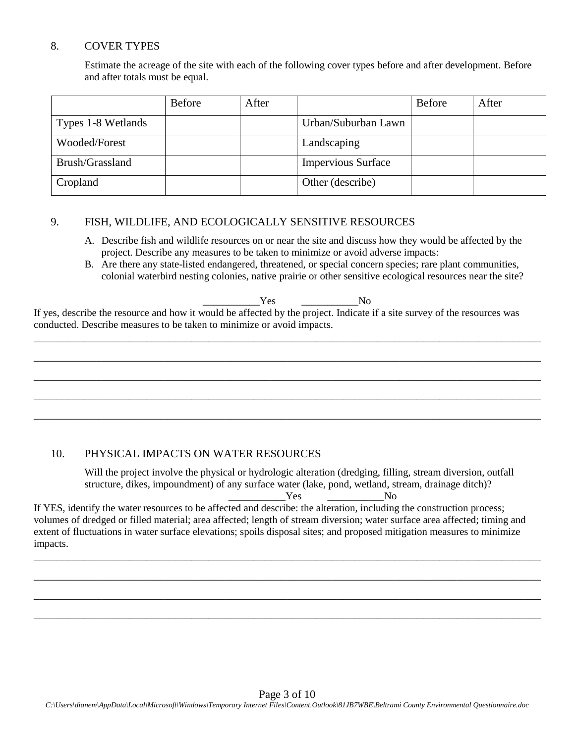### 8. COVER TYPES

Estimate the acreage of the site with each of the following cover types before and after development. Before and after totals must be equal.

|                    | <b>Before</b> | After |                           | <b>Before</b> | After |
|--------------------|---------------|-------|---------------------------|---------------|-------|
| Types 1-8 Wetlands |               |       | Urban/Suburban Lawn       |               |       |
| Wooded/Forest      |               |       | Landscaping               |               |       |
| Brush/Grassland    |               |       | <b>Impervious Surface</b> |               |       |
| Cropland           |               |       | Other (describe)          |               |       |

# 9. FISH, WILDLIFE, AND ECOLOGICALLY SENSITIVE RESOURCES

- A. Describe fish and wildlife resources on or near the site and discuss how they would be affected by the project. Describe any measures to be taken to minimize or avoid adverse impacts:
- B. Are there any state-listed endangered, threatened, or special concern species; rare plant communities, colonial waterbird nesting colonies, native prairie or other sensitive ecological resources near the site?

Yes No

If yes, describe the resource and how it would be affected by the project. Indicate if a site survey of the resources was conducted. Describe measures to be taken to minimize or avoid impacts.

\_\_\_\_\_\_\_\_\_\_\_\_\_\_\_\_\_\_\_\_\_\_\_\_\_\_\_\_\_\_\_\_\_\_\_\_\_\_\_\_\_\_\_\_\_\_\_\_\_\_\_\_\_\_\_\_\_\_\_\_\_\_\_\_\_\_\_\_\_\_\_\_\_\_\_\_\_\_\_\_\_\_\_\_\_\_\_\_\_\_

\_\_\_\_\_\_\_\_\_\_\_\_\_\_\_\_\_\_\_\_\_\_\_\_\_\_\_\_\_\_\_\_\_\_\_\_\_\_\_\_\_\_\_\_\_\_\_\_\_\_\_\_\_\_\_\_\_\_\_\_\_\_\_\_\_\_\_\_\_\_\_\_\_\_\_\_\_\_\_\_\_\_\_\_\_\_\_\_\_\_

\_\_\_\_\_\_\_\_\_\_\_\_\_\_\_\_\_\_\_\_\_\_\_\_\_\_\_\_\_\_\_\_\_\_\_\_\_\_\_\_\_\_\_\_\_\_\_\_\_\_\_\_\_\_\_\_\_\_\_\_\_\_\_\_\_\_\_\_\_\_\_\_\_\_\_\_\_\_\_\_\_\_\_\_\_\_\_\_\_\_

\_\_\_\_\_\_\_\_\_\_\_\_\_\_\_\_\_\_\_\_\_\_\_\_\_\_\_\_\_\_\_\_\_\_\_\_\_\_\_\_\_\_\_\_\_\_\_\_\_\_\_\_\_\_\_\_\_\_\_\_\_\_\_\_\_\_\_\_\_\_\_\_\_\_\_\_\_\_\_\_\_\_\_\_\_\_\_\_\_\_

\_\_\_\_\_\_\_\_\_\_\_\_\_\_\_\_\_\_\_\_\_\_\_\_\_\_\_\_\_\_\_\_\_\_\_\_\_\_\_\_\_\_\_\_\_\_\_\_\_\_\_\_\_\_\_\_\_\_\_\_\_\_\_\_\_\_\_\_\_\_\_\_\_\_\_\_\_\_\_\_\_\_\_\_\_\_\_\_\_\_

#### 10. PHYSICAL IMPACTS ON WATER RESOURCES

Will the project involve the physical or hydrologic alteration (dredging, filling, stream diversion, outfall structure, dikes, impoundment) of any surface water (lake, pond, wetland, stream, drainage ditch)?

\_\_\_\_\_\_\_\_\_\_\_Yes \_\_\_\_\_\_\_\_\_\_\_No

If YES, identify the water resources to be affected and describe: the alteration, including the construction process; volumes of dredged or filled material; area affected; length of stream diversion; water surface area affected; timing and extent of fluctuations in water surface elevations; spoils disposal sites; and proposed mitigation measures to minimize impacts.

\_\_\_\_\_\_\_\_\_\_\_\_\_\_\_\_\_\_\_\_\_\_\_\_\_\_\_\_\_\_\_\_\_\_\_\_\_\_\_\_\_\_\_\_\_\_\_\_\_\_\_\_\_\_\_\_\_\_\_\_\_\_\_\_\_\_\_\_\_\_\_\_\_\_\_\_\_\_\_\_\_\_\_\_\_\_\_\_\_\_

\_\_\_\_\_\_\_\_\_\_\_\_\_\_\_\_\_\_\_\_\_\_\_\_\_\_\_\_\_\_\_\_\_\_\_\_\_\_\_\_\_\_\_\_\_\_\_\_\_\_\_\_\_\_\_\_\_\_\_\_\_\_\_\_\_\_\_\_\_\_\_\_\_\_\_\_\_\_\_\_\_\_\_\_\_\_\_\_\_\_

\_\_\_\_\_\_\_\_\_\_\_\_\_\_\_\_\_\_\_\_\_\_\_\_\_\_\_\_\_\_\_\_\_\_\_\_\_\_\_\_\_\_\_\_\_\_\_\_\_\_\_\_\_\_\_\_\_\_\_\_\_\_\_\_\_\_\_\_\_\_\_\_\_\_\_\_\_\_\_\_\_\_\_\_\_\_\_\_\_\_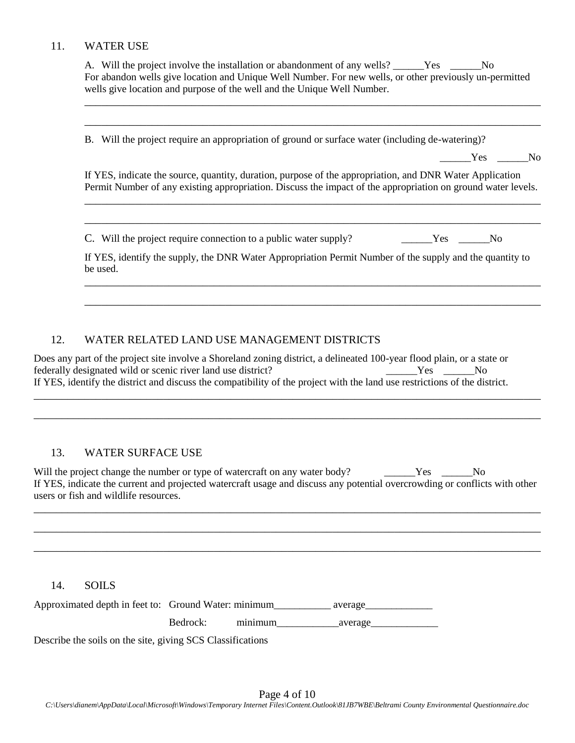#### 11. WATER USE

A. Will the project involve the installation or abandonment of any wells? \_\_\_\_\_\_Yes \_\_\_\_\_\_No For abandon wells give location and Unique Well Number. For new wells, or other previously un-permitted wells give location and purpose of the well and the Unique Well Number.

\_\_\_\_\_\_\_\_\_\_\_\_\_\_\_\_\_\_\_\_\_\_\_\_\_\_\_\_\_\_\_\_\_\_\_\_\_\_\_\_\_\_\_\_\_\_\_\_\_\_\_\_\_\_\_\_\_\_\_\_\_\_\_\_\_\_\_\_\_\_\_\_\_\_\_\_\_\_\_\_\_

\_\_\_\_\_\_\_\_\_\_\_\_\_\_\_\_\_\_\_\_\_\_\_\_\_\_\_\_\_\_\_\_\_\_\_\_\_\_\_\_\_\_\_\_\_\_\_\_\_\_\_\_\_\_\_\_\_\_\_\_\_\_\_\_\_\_\_\_\_\_\_\_\_\_\_\_\_\_\_\_\_

B. Will the project require an appropriation of ground or surface water (including de-watering)?

Yes No

If YES, indicate the source, quantity, duration, purpose of the appropriation, and DNR Water Application Permit Number of any existing appropriation. Discuss the impact of the appropriation on ground water levels.

\_\_\_\_\_\_\_\_\_\_\_\_\_\_\_\_\_\_\_\_\_\_\_\_\_\_\_\_\_\_\_\_\_\_\_\_\_\_\_\_\_\_\_\_\_\_\_\_\_\_\_\_\_\_\_\_\_\_\_\_\_\_\_\_\_\_\_\_\_\_\_\_\_\_\_\_\_\_\_\_\_

\_\_\_\_\_\_\_\_\_\_\_\_\_\_\_\_\_\_\_\_\_\_\_\_\_\_\_\_\_\_\_\_\_\_\_\_\_\_\_\_\_\_\_\_\_\_\_\_\_\_\_\_\_\_\_\_\_\_\_\_\_\_\_\_\_\_\_\_\_\_\_\_\_\_\_\_\_\_\_\_\_

C. Will the project require connection to a public water supply? Yes No

If YES, identify the supply, the DNR Water Appropriation Permit Number of the supply and the quantity to be used.

\_\_\_\_\_\_\_\_\_\_\_\_\_\_\_\_\_\_\_\_\_\_\_\_\_\_\_\_\_\_\_\_\_\_\_\_\_\_\_\_\_\_\_\_\_\_\_\_\_\_\_\_\_\_\_\_\_\_\_\_\_\_\_\_\_\_\_\_\_\_\_\_\_\_\_\_\_\_\_\_\_

\_\_\_\_\_\_\_\_\_\_\_\_\_\_\_\_\_\_\_\_\_\_\_\_\_\_\_\_\_\_\_\_\_\_\_\_\_\_\_\_\_\_\_\_\_\_\_\_\_\_\_\_\_\_\_\_\_\_\_\_\_\_\_\_\_\_\_\_\_\_\_\_\_\_\_\_\_\_\_\_\_

#### 12. WATER RELATED LAND USE MANAGEMENT DISTRICTS

Does any part of the project site involve a Shoreland zoning district, a delineated 100-year flood plain, or a state or federally designated wild or scenic river land use district? The Mess Conservation of the Mess Conservation of No If YES, identify the district and discuss the compatibility of the project with the land use restrictions of the district.

\_\_\_\_\_\_\_\_\_\_\_\_\_\_\_\_\_\_\_\_\_\_\_\_\_\_\_\_\_\_\_\_\_\_\_\_\_\_\_\_\_\_\_\_\_\_\_\_\_\_\_\_\_\_\_\_\_\_\_\_\_\_\_\_\_\_\_\_\_\_\_\_\_\_\_\_\_\_\_\_\_\_\_\_\_\_\_\_\_\_

\_\_\_\_\_\_\_\_\_\_\_\_\_\_\_\_\_\_\_\_\_\_\_\_\_\_\_\_\_\_\_\_\_\_\_\_\_\_\_\_\_\_\_\_\_\_\_\_\_\_\_\_\_\_\_\_\_\_\_\_\_\_\_\_\_\_\_\_\_\_\_\_\_\_\_\_\_\_\_\_\_\_\_\_\_\_\_\_\_\_

#### 13. WATER SURFACE USE

Will the project change the number or type of watercraft on any water body? Yes No If YES, indicate the current and projected watercraft usage and discuss any potential overcrowding or conflicts with other users or fish and wildlife resources.

\_\_\_\_\_\_\_\_\_\_\_\_\_\_\_\_\_\_\_\_\_\_\_\_\_\_\_\_\_\_\_\_\_\_\_\_\_\_\_\_\_\_\_\_\_\_\_\_\_\_\_\_\_\_\_\_\_\_\_\_\_\_\_\_\_\_\_\_\_\_\_\_\_\_\_\_\_\_\_\_\_\_\_\_\_\_\_\_\_\_

\_\_\_\_\_\_\_\_\_\_\_\_\_\_\_\_\_\_\_\_\_\_\_\_\_\_\_\_\_\_\_\_\_\_\_\_\_\_\_\_\_\_\_\_\_\_\_\_\_\_\_\_\_\_\_\_\_\_\_\_\_\_\_\_\_\_\_\_\_\_\_\_\_\_\_\_\_\_\_\_\_\_\_\_\_\_\_\_\_\_

\_\_\_\_\_\_\_\_\_\_\_\_\_\_\_\_\_\_\_\_\_\_\_\_\_\_\_\_\_\_\_\_\_\_\_\_\_\_\_\_\_\_\_\_\_\_\_\_\_\_\_\_\_\_\_\_\_\_\_\_\_\_\_\_\_\_\_\_\_\_\_\_\_\_\_\_\_\_\_\_\_\_\_\_\_\_\_\_\_\_

#### 14. SOILS

| Approximated depth in feet to: Ground Water: minimum |          |         | average |
|------------------------------------------------------|----------|---------|---------|
|                                                      | Bedrock: | minimum | average |
|                                                      |          |         |         |

Describe the soils on the site, giving SCS Classifications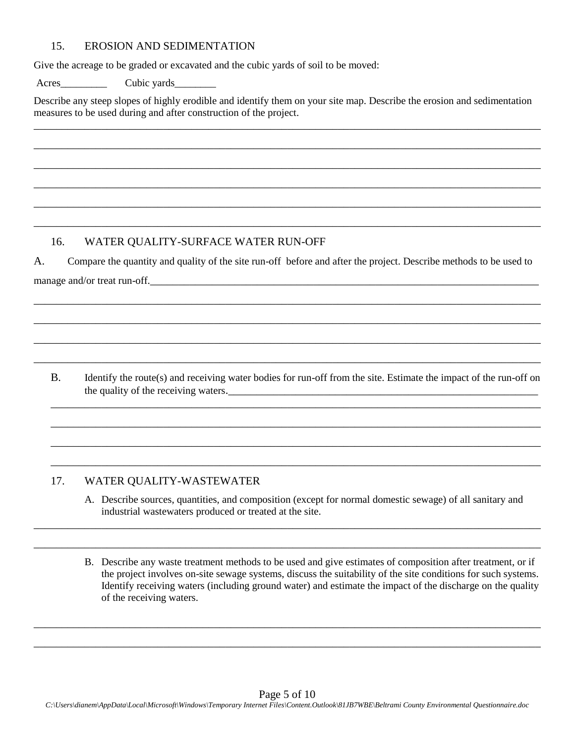#### 15. EROSION AND SEDIMENTATION

Give the acreage to be graded or excavated and the cubic yards of soil to be moved:

Acres\_\_\_\_\_\_\_\_\_ Cubic yards\_\_\_\_\_\_\_\_

Describe any steep slopes of highly erodible and identify them on your site map. Describe the erosion and sedimentation measures to be used during and after construction of the project.

\_\_\_\_\_\_\_\_\_\_\_\_\_\_\_\_\_\_\_\_\_\_\_\_\_\_\_\_\_\_\_\_\_\_\_\_\_\_\_\_\_\_\_\_\_\_\_\_\_\_\_\_\_\_\_\_\_\_\_\_\_\_\_\_\_\_\_\_\_\_\_\_\_\_\_\_\_\_\_\_\_\_\_\_\_\_\_\_\_\_

\_\_\_\_\_\_\_\_\_\_\_\_\_\_\_\_\_\_\_\_\_\_\_\_\_\_\_\_\_\_\_\_\_\_\_\_\_\_\_\_\_\_\_\_\_\_\_\_\_\_\_\_\_\_\_\_\_\_\_\_\_\_\_\_\_\_\_\_\_\_\_\_\_\_\_\_\_\_\_\_\_\_\_\_\_\_\_\_\_\_

\_\_\_\_\_\_\_\_\_\_\_\_\_\_\_\_\_\_\_\_\_\_\_\_\_\_\_\_\_\_\_\_\_\_\_\_\_\_\_\_\_\_\_\_\_\_\_\_\_\_\_\_\_\_\_\_\_\_\_\_\_\_\_\_\_\_\_\_\_\_\_\_\_\_\_\_\_\_\_\_\_\_\_\_\_\_\_\_\_\_

\_\_\_\_\_\_\_\_\_\_\_\_\_\_\_\_\_\_\_\_\_\_\_\_\_\_\_\_\_\_\_\_\_\_\_\_\_\_\_\_\_\_\_\_\_\_\_\_\_\_\_\_\_\_\_\_\_\_\_\_\_\_\_\_\_\_\_\_\_\_\_\_\_\_\_\_\_\_\_\_\_\_\_\_\_\_\_\_\_\_

\_\_\_\_\_\_\_\_\_\_\_\_\_\_\_\_\_\_\_\_\_\_\_\_\_\_\_\_\_\_\_\_\_\_\_\_\_\_\_\_\_\_\_\_\_\_\_\_\_\_\_\_\_\_\_\_\_\_\_\_\_\_\_\_\_\_\_\_\_\_\_\_\_\_\_\_\_\_\_\_\_\_\_\_\_\_\_\_\_\_

\_\_\_\_\_\_\_\_\_\_\_\_\_\_\_\_\_\_\_\_\_\_\_\_\_\_\_\_\_\_\_\_\_\_\_\_\_\_\_\_\_\_\_\_\_\_\_\_\_\_\_\_\_\_\_\_\_\_\_\_\_\_\_\_\_\_\_\_\_\_\_\_\_\_\_\_\_\_\_\_\_\_\_\_\_\_\_\_\_\_

#### 16. WATER QUALITY-SURFACE WATER RUN-OFF

A. Compare the quantity and quality of the site run-off before and after the project. Describe methods to be used to manage and/or treat run-off. The same state of  $\sim$ 

\_\_\_\_\_\_\_\_\_\_\_\_\_\_\_\_\_\_\_\_\_\_\_\_\_\_\_\_\_\_\_\_\_\_\_\_\_\_\_\_\_\_\_\_\_\_\_\_\_\_\_\_\_\_\_\_\_\_\_\_\_\_\_\_\_\_\_\_\_\_\_\_\_\_\_\_\_\_\_\_\_\_\_\_\_\_\_\_\_\_

\_\_\_\_\_\_\_\_\_\_\_\_\_\_\_\_\_\_\_\_\_\_\_\_\_\_\_\_\_\_\_\_\_\_\_\_\_\_\_\_\_\_\_\_\_\_\_\_\_\_\_\_\_\_\_\_\_\_\_\_\_\_\_\_\_\_\_\_\_\_\_\_\_\_\_\_\_\_\_\_\_\_\_\_\_\_\_\_\_\_

\_\_\_\_\_\_\_\_\_\_\_\_\_\_\_\_\_\_\_\_\_\_\_\_\_\_\_\_\_\_\_\_\_\_\_\_\_\_\_\_\_\_\_\_\_\_\_\_\_\_\_\_\_\_\_\_\_\_\_\_\_\_\_\_\_\_\_\_\_\_\_\_\_\_\_\_\_\_\_\_\_\_\_\_\_\_\_\_\_\_

\_\_\_\_\_\_\_\_\_\_\_\_\_\_\_\_\_\_\_\_\_\_\_\_\_\_\_\_\_\_\_\_\_\_\_\_\_\_\_\_\_\_\_\_\_\_\_\_\_\_\_\_\_\_\_\_\_\_\_\_\_\_\_\_\_\_\_\_\_\_\_\_\_\_\_\_\_\_\_\_\_\_\_\_\_\_\_\_\_\_

B. Identify the route(s) and receiving water bodies for run-off from the site. Estimate the impact of the run-off on the quality of the receiving waters.

\_\_\_\_\_\_\_\_\_\_\_\_\_\_\_\_\_\_\_\_\_\_\_\_\_\_\_\_\_\_\_\_\_\_\_\_\_\_\_\_\_\_\_\_\_\_\_\_\_\_\_\_\_\_\_\_\_\_\_\_\_\_\_\_\_\_\_\_\_\_\_\_\_\_\_\_\_\_\_\_\_\_\_\_\_\_\_

\_\_\_\_\_\_\_\_\_\_\_\_\_\_\_\_\_\_\_\_\_\_\_\_\_\_\_\_\_\_\_\_\_\_\_\_\_\_\_\_\_\_\_\_\_\_\_\_\_\_\_\_\_\_\_\_\_\_\_\_\_\_\_\_\_\_\_\_\_\_\_\_\_\_\_\_\_\_\_\_\_\_\_\_\_\_\_

\_\_\_\_\_\_\_\_\_\_\_\_\_\_\_\_\_\_\_\_\_\_\_\_\_\_\_\_\_\_\_\_\_\_\_\_\_\_\_\_\_\_\_\_\_\_\_\_\_\_\_\_\_\_\_\_\_\_\_\_\_\_\_\_\_\_\_\_\_\_\_\_\_\_\_\_\_\_\_\_\_\_\_\_\_\_\_

\_\_\_\_\_\_\_\_\_\_\_\_\_\_\_\_\_\_\_\_\_\_\_\_\_\_\_\_\_\_\_\_\_\_\_\_\_\_\_\_\_\_\_\_\_\_\_\_\_\_\_\_\_\_\_\_\_\_\_\_\_\_\_\_\_\_\_\_\_\_\_\_\_\_\_\_\_\_\_\_\_\_\_\_\_\_\_

\_\_\_\_\_\_\_\_\_\_\_\_\_\_\_\_\_\_\_\_\_\_\_\_\_\_\_\_\_\_\_\_\_\_\_\_\_\_\_\_\_\_\_\_\_\_\_\_\_\_\_\_\_\_\_\_\_\_\_\_\_\_\_\_\_\_\_\_\_\_\_\_\_\_\_\_\_\_\_\_\_\_\_\_\_\_\_\_\_\_

\_\_\_\_\_\_\_\_\_\_\_\_\_\_\_\_\_\_\_\_\_\_\_\_\_\_\_\_\_\_\_\_\_\_\_\_\_\_\_\_\_\_\_\_\_\_\_\_\_\_\_\_\_\_\_\_\_\_\_\_\_\_\_\_\_\_\_\_\_\_\_\_\_\_\_\_\_\_\_\_\_\_\_\_\_\_\_\_\_\_

#### 17. WATER QUALITY-WASTEWATER

- A. Describe sources, quantities, and composition (except for normal domestic sewage) of all sanitary and industrial wastewaters produced or treated at the site.
- B. Describe any waste treatment methods to be used and give estimates of composition after treatment, or if the project involves on-site sewage systems, discuss the suitability of the site conditions for such systems. Identify receiving waters (including ground water) and estimate the impact of the discharge on the quality of the receiving waters.

\_\_\_\_\_\_\_\_\_\_\_\_\_\_\_\_\_\_\_\_\_\_\_\_\_\_\_\_\_\_\_\_\_\_\_\_\_\_\_\_\_\_\_\_\_\_\_\_\_\_\_\_\_\_\_\_\_\_\_\_\_\_\_\_\_\_\_\_\_\_\_\_\_\_\_\_\_\_\_\_\_\_\_\_\_\_\_\_\_\_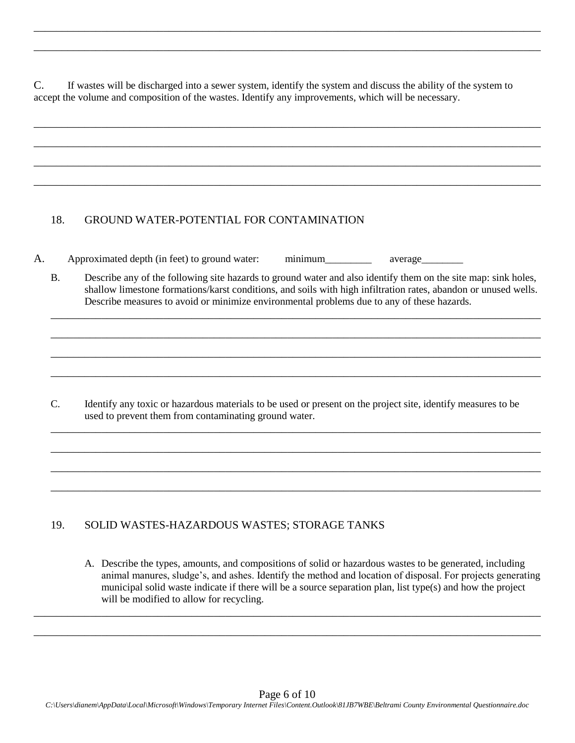C. If wastes will be discharged into a sewer system, identify the system and discuss the ability of the system to accept the volume and composition of the wastes. Identify any improvements, which will be necessary.

\_\_\_\_\_\_\_\_\_\_\_\_\_\_\_\_\_\_\_\_\_\_\_\_\_\_\_\_\_\_\_\_\_\_\_\_\_\_\_\_\_\_\_\_\_\_\_\_\_\_\_\_\_\_\_\_\_\_\_\_\_\_\_\_\_\_\_\_\_\_\_\_\_\_\_\_\_\_\_\_\_\_\_\_\_\_\_\_\_\_

\_\_\_\_\_\_\_\_\_\_\_\_\_\_\_\_\_\_\_\_\_\_\_\_\_\_\_\_\_\_\_\_\_\_\_\_\_\_\_\_\_\_\_\_\_\_\_\_\_\_\_\_\_\_\_\_\_\_\_\_\_\_\_\_\_\_\_\_\_\_\_\_\_\_\_\_\_\_\_\_\_\_\_\_\_\_\_\_\_\_

\_\_\_\_\_\_\_\_\_\_\_\_\_\_\_\_\_\_\_\_\_\_\_\_\_\_\_\_\_\_\_\_\_\_\_\_\_\_\_\_\_\_\_\_\_\_\_\_\_\_\_\_\_\_\_\_\_\_\_\_\_\_\_\_\_\_\_\_\_\_\_\_\_\_\_\_\_\_\_\_\_\_\_\_\_\_\_\_\_\_

\_\_\_\_\_\_\_\_\_\_\_\_\_\_\_\_\_\_\_\_\_\_\_\_\_\_\_\_\_\_\_\_\_\_\_\_\_\_\_\_\_\_\_\_\_\_\_\_\_\_\_\_\_\_\_\_\_\_\_\_\_\_\_\_\_\_\_\_\_\_\_\_\_\_\_\_\_\_\_\_\_\_\_\_\_\_\_\_\_\_

\_\_\_\_\_\_\_\_\_\_\_\_\_\_\_\_\_\_\_\_\_\_\_\_\_\_\_\_\_\_\_\_\_\_\_\_\_\_\_\_\_\_\_\_\_\_\_\_\_\_\_\_\_\_\_\_\_\_\_\_\_\_\_\_\_\_\_\_\_\_\_\_\_\_\_\_\_\_\_\_\_\_\_\_\_\_\_\_\_\_

\_\_\_\_\_\_\_\_\_\_\_\_\_\_\_\_\_\_\_\_\_\_\_\_\_\_\_\_\_\_\_\_\_\_\_\_\_\_\_\_\_\_\_\_\_\_\_\_\_\_\_\_\_\_\_\_\_\_\_\_\_\_\_\_\_\_\_\_\_\_\_\_\_\_\_\_\_\_\_\_\_\_\_\_\_\_\_\_\_\_

#### 18. GROUND WATER-POTENTIAL FOR CONTAMINATION

|  | Approximated depth (in feet) to ground water: | minimum | average |
|--|-----------------------------------------------|---------|---------|
|  |                                               |         |         |

B. Describe any of the following site hazards to ground water and also identify them on the site map: sink holes, shallow limestone formations/karst conditions, and soils with high infiltration rates, abandon or unused wells. Describe measures to avoid or minimize environmental problems due to any of these hazards.

\_\_\_\_\_\_\_\_\_\_\_\_\_\_\_\_\_\_\_\_\_\_\_\_\_\_\_\_\_\_\_\_\_\_\_\_\_\_\_\_\_\_\_\_\_\_\_\_\_\_\_\_\_\_\_\_\_\_\_\_\_\_\_\_\_\_\_\_\_\_\_\_\_\_\_\_\_\_\_\_\_\_\_\_\_\_\_

\_\_\_\_\_\_\_\_\_\_\_\_\_\_\_\_\_\_\_\_\_\_\_\_\_\_\_\_\_\_\_\_\_\_\_\_\_\_\_\_\_\_\_\_\_\_\_\_\_\_\_\_\_\_\_\_\_\_\_\_\_\_\_\_\_\_\_\_\_\_\_\_\_\_\_\_\_\_\_\_\_\_\_\_\_\_\_

\_\_\_\_\_\_\_\_\_\_\_\_\_\_\_\_\_\_\_\_\_\_\_\_\_\_\_\_\_\_\_\_\_\_\_\_\_\_\_\_\_\_\_\_\_\_\_\_\_\_\_\_\_\_\_\_\_\_\_\_\_\_\_\_\_\_\_\_\_\_\_\_\_\_\_\_\_\_\_\_\_\_\_\_\_\_\_

\_\_\_\_\_\_\_\_\_\_\_\_\_\_\_\_\_\_\_\_\_\_\_\_\_\_\_\_\_\_\_\_\_\_\_\_\_\_\_\_\_\_\_\_\_\_\_\_\_\_\_\_\_\_\_\_\_\_\_\_\_\_\_\_\_\_\_\_\_\_\_\_\_\_\_\_\_\_\_\_\_\_\_\_\_\_\_

\_\_\_\_\_\_\_\_\_\_\_\_\_\_\_\_\_\_\_\_\_\_\_\_\_\_\_\_\_\_\_\_\_\_\_\_\_\_\_\_\_\_\_\_\_\_\_\_\_\_\_\_\_\_\_\_\_\_\_\_\_\_\_\_\_\_\_\_\_\_\_\_\_\_\_\_\_\_\_\_\_\_\_\_\_\_\_

\_\_\_\_\_\_\_\_\_\_\_\_\_\_\_\_\_\_\_\_\_\_\_\_\_\_\_\_\_\_\_\_\_\_\_\_\_\_\_\_\_\_\_\_\_\_\_\_\_\_\_\_\_\_\_\_\_\_\_\_\_\_\_\_\_\_\_\_\_\_\_\_\_\_\_\_\_\_\_\_\_\_\_\_\_\_\_

\_\_\_\_\_\_\_\_\_\_\_\_\_\_\_\_\_\_\_\_\_\_\_\_\_\_\_\_\_\_\_\_\_\_\_\_\_\_\_\_\_\_\_\_\_\_\_\_\_\_\_\_\_\_\_\_\_\_\_\_\_\_\_\_\_\_\_\_\_\_\_\_\_\_\_\_\_\_\_\_\_\_\_\_\_\_\_

\_\_\_\_\_\_\_\_\_\_\_\_\_\_\_\_\_\_\_\_\_\_\_\_\_\_\_\_\_\_\_\_\_\_\_\_\_\_\_\_\_\_\_\_\_\_\_\_\_\_\_\_\_\_\_\_\_\_\_\_\_\_\_\_\_\_\_\_\_\_\_\_\_\_\_\_\_\_\_\_\_\_\_\_\_\_\_

C. Identify any toxic or hazardous materials to be used or present on the project site, identify measures to be used to prevent them from contaminating ground water.

#### 19. SOLID WASTES-HAZARDOUS WASTES; STORAGE TANKS

A. Describe the types, amounts, and compositions of solid or hazardous wastes to be generated, including animal manures, sludge's, and ashes. Identify the method and location of disposal. For projects generating municipal solid waste indicate if there will be a source separation plan, list type(s) and how the project will be modified to allow for recycling.

\_\_\_\_\_\_\_\_\_\_\_\_\_\_\_\_\_\_\_\_\_\_\_\_\_\_\_\_\_\_\_\_\_\_\_\_\_\_\_\_\_\_\_\_\_\_\_\_\_\_\_\_\_\_\_\_\_\_\_\_\_\_\_\_\_\_\_\_\_\_\_\_\_\_\_\_\_\_\_\_\_\_\_\_\_\_\_\_\_\_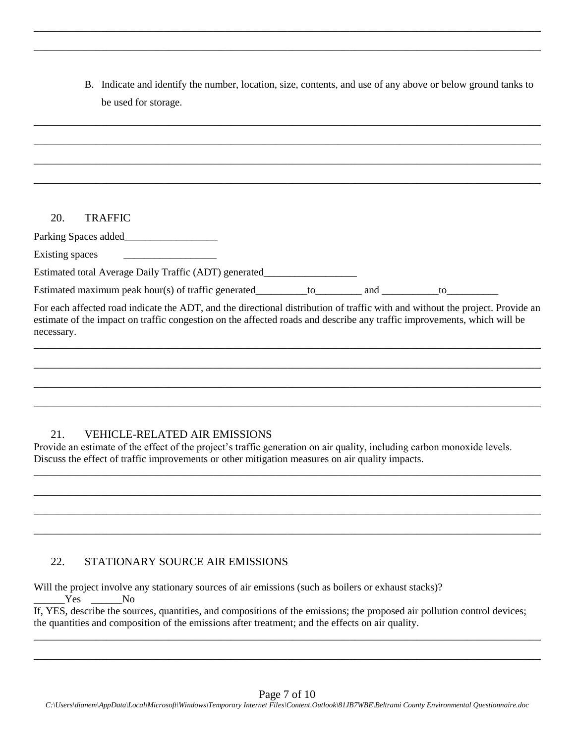B. Indicate and identify the number, location, size, contents, and use of any above or below ground tanks to be used for storage.

\_\_\_\_\_\_\_\_\_\_\_\_\_\_\_\_\_\_\_\_\_\_\_\_\_\_\_\_\_\_\_\_\_\_\_\_\_\_\_\_\_\_\_\_\_\_\_\_\_\_\_\_\_\_\_\_\_\_\_\_\_\_\_\_\_\_\_\_\_\_\_\_\_\_\_\_\_\_\_\_\_\_\_\_\_\_\_\_\_\_

\_\_\_\_\_\_\_\_\_\_\_\_\_\_\_\_\_\_\_\_\_\_\_\_\_\_\_\_\_\_\_\_\_\_\_\_\_\_\_\_\_\_\_\_\_\_\_\_\_\_\_\_\_\_\_\_\_\_\_\_\_\_\_\_\_\_\_\_\_\_\_\_\_\_\_\_\_\_\_\_\_\_\_\_\_\_\_\_\_\_

# \_\_\_\_\_\_\_\_\_\_\_\_\_\_\_\_\_\_\_\_\_\_\_\_\_\_\_\_\_\_\_\_\_\_\_\_\_\_\_\_\_\_\_\_\_\_\_\_\_\_\_\_\_\_\_\_\_\_\_\_\_\_\_\_\_\_\_\_\_\_\_\_\_\_\_\_\_\_\_\_\_\_\_\_\_\_\_\_\_\_ \_\_\_\_\_\_\_\_\_\_\_\_\_\_\_\_\_\_\_\_\_\_\_\_\_\_\_\_\_\_\_\_\_\_\_\_\_\_\_\_\_\_\_\_\_\_\_\_\_\_\_\_\_\_\_\_\_\_\_\_\_\_\_\_\_\_\_\_\_\_\_\_\_\_\_\_\_\_\_\_\_\_\_\_\_\_\_\_\_\_ \_\_\_\_\_\_\_\_\_\_\_\_\_\_\_\_\_\_\_\_\_\_\_\_\_\_\_\_\_\_\_\_\_\_\_\_\_\_\_\_\_\_\_\_\_\_\_\_\_\_\_\_\_\_\_\_\_\_\_\_\_\_\_\_\_\_\_\_\_\_\_\_\_\_\_\_\_\_\_\_\_\_\_\_\_\_\_\_\_\_ \_\_\_\_\_\_\_\_\_\_\_\_\_\_\_\_\_\_\_\_\_\_\_\_\_\_\_\_\_\_\_\_\_\_\_\_\_\_\_\_\_\_\_\_\_\_\_\_\_\_\_\_\_\_\_\_\_\_\_\_\_\_\_\_\_\_\_\_\_\_\_\_\_\_\_\_\_\_\_\_\_\_\_\_\_\_\_\_\_\_ 20. TRAFFIC Parking Spaces added\_\_\_\_\_\_\_\_\_\_\_\_\_\_\_\_\_\_ Existing spaces Estimated total Average Daily Traffic (ADT) generated\_\_\_\_\_\_\_\_\_\_\_\_\_\_\_\_\_\_\_\_\_\_\_\_\_\_\_ Estimated maximum peak hour(s) of traffic generated\_\_\_\_\_\_\_\_to\_\_\_\_\_\_\_\_\_\_\_ and \_\_\_\_\_\_\_\_\_\_\_to\_\_\_\_\_\_\_\_\_\_\_\_\_\_\_\_\_\_\_\_

For each affected road indicate the ADT, and the directional distribution of traffic with and without the project. Provide an estimate of the impact on traffic congestion on the affected roads and describe any traffic improvements, which will be necessary.

\_\_\_\_\_\_\_\_\_\_\_\_\_\_\_\_\_\_\_\_\_\_\_\_\_\_\_\_\_\_\_\_\_\_\_\_\_\_\_\_\_\_\_\_\_\_\_\_\_\_\_\_\_\_\_\_\_\_\_\_\_\_\_\_\_\_\_\_\_\_\_\_\_\_\_\_\_\_\_\_\_\_\_\_\_\_\_\_\_\_

\_\_\_\_\_\_\_\_\_\_\_\_\_\_\_\_\_\_\_\_\_\_\_\_\_\_\_\_\_\_\_\_\_\_\_\_\_\_\_\_\_\_\_\_\_\_\_\_\_\_\_\_\_\_\_\_\_\_\_\_\_\_\_\_\_\_\_\_\_\_\_\_\_\_\_\_\_\_\_\_\_\_\_\_\_\_\_\_\_\_

\_\_\_\_\_\_\_\_\_\_\_\_\_\_\_\_\_\_\_\_\_\_\_\_\_\_\_\_\_\_\_\_\_\_\_\_\_\_\_\_\_\_\_\_\_\_\_\_\_\_\_\_\_\_\_\_\_\_\_\_\_\_\_\_\_\_\_\_\_\_\_\_\_\_\_\_\_\_\_\_\_\_\_\_\_\_\_\_\_\_

\_\_\_\_\_\_\_\_\_\_\_\_\_\_\_\_\_\_\_\_\_\_\_\_\_\_\_\_\_\_\_\_\_\_\_\_\_\_\_\_\_\_\_\_\_\_\_\_\_\_\_\_\_\_\_\_\_\_\_\_\_\_\_\_\_\_\_\_\_\_\_\_\_\_\_\_\_\_\_\_\_\_\_\_\_\_\_\_\_\_

\_\_\_\_\_\_\_\_\_\_\_\_\_\_\_\_\_\_\_\_\_\_\_\_\_\_\_\_\_\_\_\_\_\_\_\_\_\_\_\_\_\_\_\_\_\_\_\_\_\_\_\_\_\_\_\_\_\_\_\_\_\_\_\_\_\_\_\_\_\_\_\_\_\_\_\_\_\_\_\_\_\_\_\_\_\_\_\_\_\_

\_\_\_\_\_\_\_\_\_\_\_\_\_\_\_\_\_\_\_\_\_\_\_\_\_\_\_\_\_\_\_\_\_\_\_\_\_\_\_\_\_\_\_\_\_\_\_\_\_\_\_\_\_\_\_\_\_\_\_\_\_\_\_\_\_\_\_\_\_\_\_\_\_\_\_\_\_\_\_\_\_\_\_\_\_\_\_\_\_\_

\_\_\_\_\_\_\_\_\_\_\_\_\_\_\_\_\_\_\_\_\_\_\_\_\_\_\_\_\_\_\_\_\_\_\_\_\_\_\_\_\_\_\_\_\_\_\_\_\_\_\_\_\_\_\_\_\_\_\_\_\_\_\_\_\_\_\_\_\_\_\_\_\_\_\_\_\_\_\_\_\_\_\_\_\_\_\_\_\_\_

\_\_\_\_\_\_\_\_\_\_\_\_\_\_\_\_\_\_\_\_\_\_\_\_\_\_\_\_\_\_\_\_\_\_\_\_\_\_\_\_\_\_\_\_\_\_\_\_\_\_\_\_\_\_\_\_\_\_\_\_\_\_\_\_\_\_\_\_\_\_\_\_\_\_\_\_\_\_\_\_\_\_\_\_\_\_\_\_\_\_

# 21. VEHICLE-RELATED AIR EMISSIONS

Provide an estimate of the effect of the project's traffic generation on air quality, including carbon monoxide levels. Discuss the effect of traffic improvements or other mitigation measures on air quality impacts.

# 22. STATIONARY SOURCE AIR EMISSIONS

Will the project involve any stationary sources of air emissions (such as boilers or exhaust stacks)? Yes No If, YES, describe the sources, quantities, and compositions of the emissions; the proposed air pollution control devices; the quantities and composition of the emissions after treatment; and the effects on air quality.

\_\_\_\_\_\_\_\_\_\_\_\_\_\_\_\_\_\_\_\_\_\_\_\_\_\_\_\_\_\_\_\_\_\_\_\_\_\_\_\_\_\_\_\_\_\_\_\_\_\_\_\_\_\_\_\_\_\_\_\_\_\_\_\_\_\_\_\_\_\_\_\_\_\_\_\_\_\_\_\_\_\_\_\_\_\_\_\_\_\_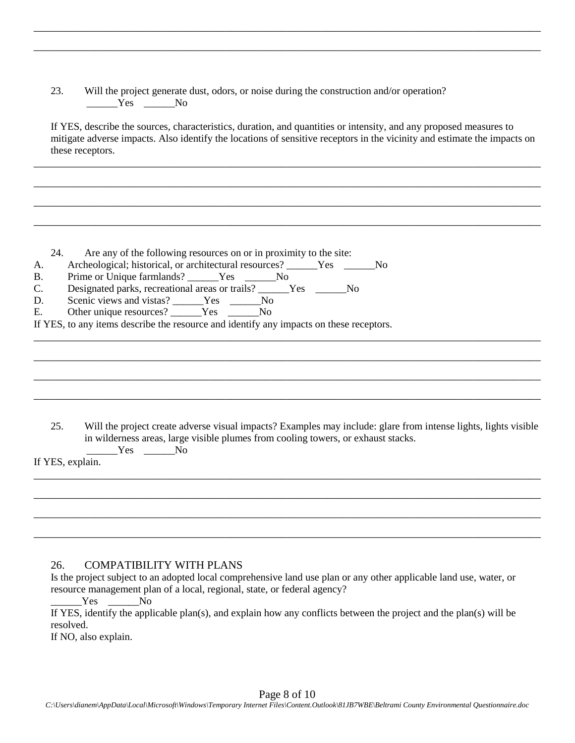| 23. |        | Will the project generate dust, odors, or noise during the construction and/or operation? |  |
|-----|--------|-------------------------------------------------------------------------------------------|--|
|     | Yes No |                                                                                           |  |

If YES, describe the sources, characteristics, duration, and quantities or intensity, and any proposed measures to mitigate adverse impacts. Also identify the locations of sensitive receptors in the vicinity and estimate the impacts on these receptors.

\_\_\_\_\_\_\_\_\_\_\_\_\_\_\_\_\_\_\_\_\_\_\_\_\_\_\_\_\_\_\_\_\_\_\_\_\_\_\_\_\_\_\_\_\_\_\_\_\_\_\_\_\_\_\_\_\_\_\_\_\_\_\_\_\_\_\_\_\_\_\_\_\_\_\_\_\_\_\_\_\_\_\_\_\_\_\_\_\_\_

\_\_\_\_\_\_\_\_\_\_\_\_\_\_\_\_\_\_\_\_\_\_\_\_\_\_\_\_\_\_\_\_\_\_\_\_\_\_\_\_\_\_\_\_\_\_\_\_\_\_\_\_\_\_\_\_\_\_\_\_\_\_\_\_\_\_\_\_\_\_\_\_\_\_\_\_\_\_\_\_\_\_\_\_\_\_\_\_\_\_

\_\_\_\_\_\_\_\_\_\_\_\_\_\_\_\_\_\_\_\_\_\_\_\_\_\_\_\_\_\_\_\_\_\_\_\_\_\_\_\_\_\_\_\_\_\_\_\_\_\_\_\_\_\_\_\_\_\_\_\_\_\_\_\_\_\_\_\_\_\_\_\_\_\_\_\_\_\_\_\_\_\_\_\_\_\_\_\_\_\_

\_\_\_\_\_\_\_\_\_\_\_\_\_\_\_\_\_\_\_\_\_\_\_\_\_\_\_\_\_\_\_\_\_\_\_\_\_\_\_\_\_\_\_\_\_\_\_\_\_\_\_\_\_\_\_\_\_\_\_\_\_\_\_\_\_\_\_\_\_\_\_\_\_\_\_\_\_\_\_\_\_\_\_\_\_\_\_\_\_\_

\_\_\_\_\_\_\_\_\_\_\_\_\_\_\_\_\_\_\_\_\_\_\_\_\_\_\_\_\_\_\_\_\_\_\_\_\_\_\_\_\_\_\_\_\_\_\_\_\_\_\_\_\_\_\_\_\_\_\_\_\_\_\_\_\_\_\_\_\_\_\_\_\_\_\_\_\_\_\_\_\_\_\_\_\_\_\_\_\_\_

\_\_\_\_\_\_\_\_\_\_\_\_\_\_\_\_\_\_\_\_\_\_\_\_\_\_\_\_\_\_\_\_\_\_\_\_\_\_\_\_\_\_\_\_\_\_\_\_\_\_\_\_\_\_\_\_\_\_\_\_\_\_\_\_\_\_\_\_\_\_\_\_\_\_\_\_\_\_\_\_\_\_\_\_\_\_\_\_\_\_

\_\_\_\_\_\_\_\_\_\_\_\_\_\_\_\_\_\_\_\_\_\_\_\_\_\_\_\_\_\_\_\_\_\_\_\_\_\_\_\_\_\_\_\_\_\_\_\_\_\_\_\_\_\_\_\_\_\_\_\_\_\_\_\_\_\_\_\_\_\_\_\_\_\_\_\_\_\_\_\_\_\_\_\_\_\_\_\_\_\_

\_\_\_\_\_\_\_\_\_\_\_\_\_\_\_\_\_\_\_\_\_\_\_\_\_\_\_\_\_\_\_\_\_\_\_\_\_\_\_\_\_\_\_\_\_\_\_\_\_\_\_\_\_\_\_\_\_\_\_\_\_\_\_\_\_\_\_\_\_\_\_\_\_\_\_\_\_\_\_\_\_\_\_\_\_\_\_\_\_\_

\_\_\_\_\_\_\_\_\_\_\_\_\_\_\_\_\_\_\_\_\_\_\_\_\_\_\_\_\_\_\_\_\_\_\_\_\_\_\_\_\_\_\_\_\_\_\_\_\_\_\_\_\_\_\_\_\_\_\_\_\_\_\_\_\_\_\_\_\_\_\_\_\_\_\_\_\_\_\_\_\_\_\_\_\_\_\_\_\_\_

\_\_\_\_\_\_\_\_\_\_\_\_\_\_\_\_\_\_\_\_\_\_\_\_\_\_\_\_\_\_\_\_\_\_\_\_\_\_\_\_\_\_\_\_\_\_\_\_\_\_\_\_\_\_\_\_\_\_\_\_\_\_\_\_\_\_\_\_\_\_\_\_\_\_\_\_\_\_\_\_\_\_\_\_\_\_\_\_\_\_

24. Are any of the following resources on or in proximity to the site:

|  |  | Archeological; historical, or architectural resources? | <b>Yes</b> | No |
|--|--|--------------------------------------------------------|------------|----|
|--|--|--------------------------------------------------------|------------|----|

- B. Prime or Unique farmlands? \_\_\_\_\_\_Yes \_\_\_\_\_\_No
- C. Designated parks, recreational areas or trails? \_\_\_\_\_Yes \_\_\_\_\_No
- D. Scenic views and vistas? \_\_\_\_\_Yes \_\_\_\_\_No
- E. Other unique resources? Ves Ves No

If YES, to any items describe the resource and identify any impacts on these receptors.

25. Will the project create adverse visual impacts? Examples may include: glare from intense lights, lights visible in wilderness areas, large visible plumes from cooling towers, or exhaust stacks.  $Yes$  \_\_\_\_\_\_\_\_No

\_\_\_\_\_\_\_\_\_\_\_\_\_\_\_\_\_\_\_\_\_\_\_\_\_\_\_\_\_\_\_\_\_\_\_\_\_\_\_\_\_\_\_\_\_\_\_\_\_\_\_\_\_\_\_\_\_\_\_\_\_\_\_\_\_\_\_\_\_\_\_\_\_\_\_\_\_\_\_\_\_\_\_\_\_\_\_\_\_\_

\_\_\_\_\_\_\_\_\_\_\_\_\_\_\_\_\_\_\_\_\_\_\_\_\_\_\_\_\_\_\_\_\_\_\_\_\_\_\_\_\_\_\_\_\_\_\_\_\_\_\_\_\_\_\_\_\_\_\_\_\_\_\_\_\_\_\_\_\_\_\_\_\_\_\_\_\_\_\_\_\_\_\_\_\_\_\_\_\_\_

\_\_\_\_\_\_\_\_\_\_\_\_\_\_\_\_\_\_\_\_\_\_\_\_\_\_\_\_\_\_\_\_\_\_\_\_\_\_\_\_\_\_\_\_\_\_\_\_\_\_\_\_\_\_\_\_\_\_\_\_\_\_\_\_\_\_\_\_\_\_\_\_\_\_\_\_\_\_\_\_\_\_\_\_\_\_\_\_\_\_

\_\_\_\_\_\_\_\_\_\_\_\_\_\_\_\_\_\_\_\_\_\_\_\_\_\_\_\_\_\_\_\_\_\_\_\_\_\_\_\_\_\_\_\_\_\_\_\_\_\_\_\_\_\_\_\_\_\_\_\_\_\_\_\_\_\_\_\_\_\_\_\_\_\_\_\_\_\_\_\_\_\_\_\_\_\_\_\_\_\_

If YES, explain.

#### 26. COMPATIBILITY WITH PLANS

Is the project subject to an adopted local comprehensive land use plan or any other applicable land use, water, or resource management plan of a local, regional, state, or federal agency?

Yes No

If YES, identify the applicable plan(s), and explain how any conflicts between the project and the plan(s) will be resolved.

If NO, also explain.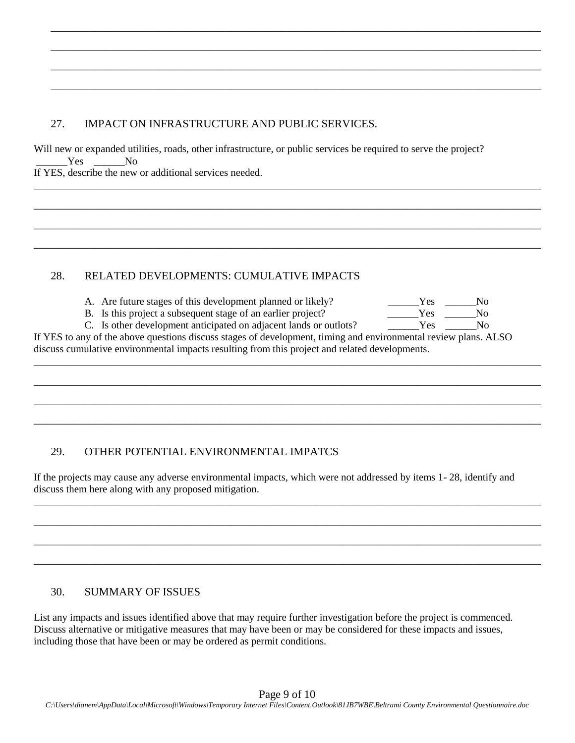### 27. IMPACT ON INFRASTRUCTURE AND PUBLIC SERVICES.

Will new or expanded utilities, roads, other infrastructure, or public services be required to serve the project? Yes No If YES, describe the new or additional services needed.

\_\_\_\_\_\_\_\_\_\_\_\_\_\_\_\_\_\_\_\_\_\_\_\_\_\_\_\_\_\_\_\_\_\_\_\_\_\_\_\_\_\_\_\_\_\_\_\_\_\_\_\_\_\_\_\_\_\_\_\_\_\_\_\_\_\_\_\_\_\_\_\_\_\_\_\_\_\_\_\_\_\_\_\_\_\_\_

\_\_\_\_\_\_\_\_\_\_\_\_\_\_\_\_\_\_\_\_\_\_\_\_\_\_\_\_\_\_\_\_\_\_\_\_\_\_\_\_\_\_\_\_\_\_\_\_\_\_\_\_\_\_\_\_\_\_\_\_\_\_\_\_\_\_\_\_\_\_\_\_\_\_\_\_\_\_\_\_\_\_\_\_\_\_\_

\_\_\_\_\_\_\_\_\_\_\_\_\_\_\_\_\_\_\_\_\_\_\_\_\_\_\_\_\_\_\_\_\_\_\_\_\_\_\_\_\_\_\_\_\_\_\_\_\_\_\_\_\_\_\_\_\_\_\_\_\_\_\_\_\_\_\_\_\_\_\_\_\_\_\_\_\_\_\_\_\_\_\_\_\_\_\_

\_\_\_\_\_\_\_\_\_\_\_\_\_\_\_\_\_\_\_\_\_\_\_\_\_\_\_\_\_\_\_\_\_\_\_\_\_\_\_\_\_\_\_\_\_\_\_\_\_\_\_\_\_\_\_\_\_\_\_\_\_\_\_\_\_\_\_\_\_\_\_\_\_\_\_\_\_\_\_\_\_\_\_\_\_\_\_

\_\_\_\_\_\_\_\_\_\_\_\_\_\_\_\_\_\_\_\_\_\_\_\_\_\_\_\_\_\_\_\_\_\_\_\_\_\_\_\_\_\_\_\_\_\_\_\_\_\_\_\_\_\_\_\_\_\_\_\_\_\_\_\_\_\_\_\_\_\_\_\_\_\_\_\_\_\_\_\_\_\_\_\_\_\_\_\_\_\_

\_\_\_\_\_\_\_\_\_\_\_\_\_\_\_\_\_\_\_\_\_\_\_\_\_\_\_\_\_\_\_\_\_\_\_\_\_\_\_\_\_\_\_\_\_\_\_\_\_\_\_\_\_\_\_\_\_\_\_\_\_\_\_\_\_\_\_\_\_\_\_\_\_\_\_\_\_\_\_\_\_\_\_\_\_\_\_\_\_\_

\_\_\_\_\_\_\_\_\_\_\_\_\_\_\_\_\_\_\_\_\_\_\_\_\_\_\_\_\_\_\_\_\_\_\_\_\_\_\_\_\_\_\_\_\_\_\_\_\_\_\_\_\_\_\_\_\_\_\_\_\_\_\_\_\_\_\_\_\_\_\_\_\_\_\_\_\_\_\_\_\_\_\_\_\_\_\_\_\_\_

\_\_\_\_\_\_\_\_\_\_\_\_\_\_\_\_\_\_\_\_\_\_\_\_\_\_\_\_\_\_\_\_\_\_\_\_\_\_\_\_\_\_\_\_\_\_\_\_\_\_\_\_\_\_\_\_\_\_\_\_\_\_\_\_\_\_\_\_\_\_\_\_\_\_\_\_\_\_\_\_\_\_\_\_\_\_\_\_\_\_

#### 28. RELATED DEVELOPMENTS: CUMULATIVE IMPACTS

- A. Are future stages of this development planned or likely?
- B. Is this project a subsequent stage of an earlier project?
- C. Is other development anticipated on adjacent lands or outlots?

| Yes | No |
|-----|----|
| Yes | No |
| Yes | Nο |

If YES to any of the above questions discuss stages of development, timing and environmental review plans. ALSO discuss cumulative environmental impacts resulting from this project and related developments.

\_\_\_\_\_\_\_\_\_\_\_\_\_\_\_\_\_\_\_\_\_\_\_\_\_\_\_\_\_\_\_\_\_\_\_\_\_\_\_\_\_\_\_\_\_\_\_\_\_\_\_\_\_\_\_\_\_\_\_\_\_\_\_\_\_\_\_\_\_\_\_\_\_\_\_\_\_\_\_\_\_\_\_\_\_\_\_\_\_\_

\_\_\_\_\_\_\_\_\_\_\_\_\_\_\_\_\_\_\_\_\_\_\_\_\_\_\_\_\_\_\_\_\_\_\_\_\_\_\_\_\_\_\_\_\_\_\_\_\_\_\_\_\_\_\_\_\_\_\_\_\_\_\_\_\_\_\_\_\_\_\_\_\_\_\_\_\_\_\_\_\_\_\_\_\_\_\_\_\_\_

\_\_\_\_\_\_\_\_\_\_\_\_\_\_\_\_\_\_\_\_\_\_\_\_\_\_\_\_\_\_\_\_\_\_\_\_\_\_\_\_\_\_\_\_\_\_\_\_\_\_\_\_\_\_\_\_\_\_\_\_\_\_\_\_\_\_\_\_\_\_\_\_\_\_\_\_\_\_\_\_\_\_\_\_\_\_\_\_\_\_

\_\_\_\_\_\_\_\_\_\_\_\_\_\_\_\_\_\_\_\_\_\_\_\_\_\_\_\_\_\_\_\_\_\_\_\_\_\_\_\_\_\_\_\_\_\_\_\_\_\_\_\_\_\_\_\_\_\_\_\_\_\_\_\_\_\_\_\_\_\_\_\_\_\_\_\_\_\_\_\_\_\_\_\_\_\_\_\_\_\_

\_\_\_\_\_\_\_\_\_\_\_\_\_\_\_\_\_\_\_\_\_\_\_\_\_\_\_\_\_\_\_\_\_\_\_\_\_\_\_\_\_\_\_\_\_\_\_\_\_\_\_\_\_\_\_\_\_\_\_\_\_\_\_\_\_\_\_\_\_\_\_\_\_\_\_\_\_\_\_\_\_\_\_\_\_\_\_\_\_\_

\_\_\_\_\_\_\_\_\_\_\_\_\_\_\_\_\_\_\_\_\_\_\_\_\_\_\_\_\_\_\_\_\_\_\_\_\_\_\_\_\_\_\_\_\_\_\_\_\_\_\_\_\_\_\_\_\_\_\_\_\_\_\_\_\_\_\_\_\_\_\_\_\_\_\_\_\_\_\_\_\_\_\_\_\_\_\_\_\_\_

\_\_\_\_\_\_\_\_\_\_\_\_\_\_\_\_\_\_\_\_\_\_\_\_\_\_\_\_\_\_\_\_\_\_\_\_\_\_\_\_\_\_\_\_\_\_\_\_\_\_\_\_\_\_\_\_\_\_\_\_\_\_\_\_\_\_\_\_\_\_\_\_\_\_\_\_\_\_\_\_\_\_\_\_\_\_\_\_\_\_

\_\_\_\_\_\_\_\_\_\_\_\_\_\_\_\_\_\_\_\_\_\_\_\_\_\_\_\_\_\_\_\_\_\_\_\_\_\_\_\_\_\_\_\_\_\_\_\_\_\_\_\_\_\_\_\_\_\_\_\_\_\_\_\_\_\_\_\_\_\_\_\_\_\_\_\_\_\_\_\_\_\_\_\_\_\_\_\_\_\_

# 29. OTHER POTENTIAL ENVIRONMENTAL IMPATCS

If the projects may cause any adverse environmental impacts, which were not addressed by items 1- 28, identify and discuss them here along with any proposed mitigation.

#### 30. SUMMARY OF ISSUES

List any impacts and issues identified above that may require further investigation before the project is commenced. Discuss alternative or mitigative measures that may have been or may be considered for these impacts and issues, including those that have been or may be ordered as permit conditions.